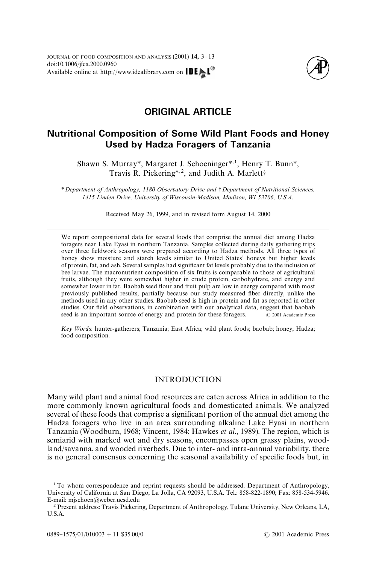

# **ORIGINAL ARTICLE**

# **Nutritional Composition of Some Wild Plant Foods and Honey Used by Hadza Foragers of Tanzania**

Shawn S. Murray*\**, Margaret J. Schoeninger*\**,1, Henry T. Bunn*\**, Travis R. Pickering<sup>\*, 2</sup>, and Judith A. Marlett<sup>+</sup>

*\* Department of Anthropology, 1180 Observatory Drive and* - *Department of Nutritional Sciences, 1415 Linden Drive, University of Wisconsin-Madison, Madison, WI 53706, U.S.A.*

Received May 26, 1999, and in revised form August 14, 2000

We report compositional data for several foods that comprise the annual diet among Hadza foragers near Lake Eyasi in northern Tanzania. Samples collected during daily gathering trips over three "eldwork seasons were prepared according to Hadza methods. All three types of honey show moisture and starch levels similar to United States' honeys but higher levels of protein, fat, and ash. Several samples had significant fat levels probably due to the inclusion of bee larvae. The macronutrient composition of six fruits is comparable to those of agricultural fruits, although they were somewhat higher in crude protein, carbohydrate, and energy and somewhat lower in fat. Baobab seed flour and fruit pulp are low in energy compared with most previously published results, partially because our study measured fiber directly, unlike the methods used in any other studies. Baobab seed is high in protein and fat as reported in other studies. Our field observations, in combination with our analytical data, suggest that baobab seed is an important source of energy and protein for these foragers.  $\odot$  2001 Academic Press seed is an important source of energy and protein for these foragers.

*Key Words*: hunter-gatherers; Tanzania; East Africa; wild plant foods; baobab; honey; Hadza; food composition.

## INTRODUCTION

Many wild plant and animal food resources are eaten across Africa in addition to the more commonly known agricultural foods and domesticated animals. We analyzed several of these foods that comprise a significant portion of the annual diet among the Hadza foragers who live in an area surrounding alkaline Lake Eyasi in northern Tanzania [\(Woodburn, 1968; Vincent, 1984;](#page-10-0) [Hawkes](#page-9-0) *et al*., 1989). The region, which is semiarid with marked wet and dry seasons, encompasses open grassy plains, woodland/savanna, and wooded riverbeds. Due to inter- and intra-annual variability, there is no general consensus concerning the seasonal availability of specific foods but, in

<sup>&</sup>lt;sup>1</sup> To whom correspondence and reprint requests should be addressed. Department of Anthropology, University of California at San Diego, La Jolla, CA 92093, U.S.A. Tel.: 858-822-1890; Fax: 858-534-5946. E-mail: mjschoen@weber.ucsd.edu

<sup>&</sup>lt;sup>2</sup> Present address: Travis Pickering, Department of Anthropology, Tulane University, New Orleans, LA, U.S.A.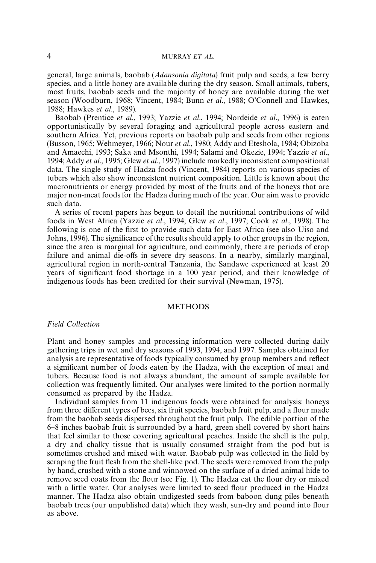#### 4 MURRAY *ET AL*,

general, large animals, baobab (*Adansonia digitata*) fruit pulp and seeds, a few berry species, and a little honey are available during the dry season. Small animals, tubers, most fruits, baobab seeds and the majority of honey are available during the wet season [\(Woodburn, 1968; Vincent, 1984;](#page-10-0) Bunn *et al*[., 1988;](#page-9-0) O'[Connell and Hawkes,](#page-10-0) [1988;](#page-10-0) [Hawkes](#page-9-0) *et al*., 1989).

Baobab [\(Prentice](#page-10-0) *et al*., 1993; Yazzie *et al*[., 1994; Nordeide](#page-10-0) *et al*., 1996) is eaten opportunistically by several foraging and agricultural people across eastern and southern Africa. Yet, previous reports on baobab pulp and seeds from other regions [\(Busson, 1965;](#page-9-0) [Wehmeyer, 1966;](#page-10-0) Nour *et al*[., 1980;](#page-10-0) [Addy and Eteshola, 1984;](#page-9-0) [Obizoba](#page-10-0) [and Amaechi, 1993; Saka and Msonthi, 1994; Salami and Okezie, 1994;](#page-10-0) [Yazzie](#page-10-0) *et al*., [1994](#page-10-0); Addy *et al*[., 1995;](#page-9-0) Glew *et al*[., 1997\)](#page-9-0) include markedly inconsistent compositional data. The single study of Hadza foods [\(Vincent, 1984\)](#page-10-0) reports on various species of tubers which also show inconsistent nutrient composition. Little is known about the macronutrients or energy provided by most of the fruits and of the honeys that are major non-meat foods for the Hadza during much of the year. Our aim was to provide such data.

A series of recent papers has begun to detail the nutritional contributions of wild foods in West Africa (Yazzie *et al*[., 1994;](#page-10-0) Glew *et al*[., 1997;](#page-9-0) Cook *et al*[., 1998\)](#page-9-0). The following is one of the first to provide such data for East Africa (see also [Uiso and](#page-10-0) [Johns, 1996\).](#page-10-0) The significance of the results should apply to other groups in the region, since the area is marginal for agriculture, and commonly, there are periods of crop failure and animal die-offs in severe dry seasons. In a nearby, similarly marginal, agricultural region in north-central Tanzania, the Sandawe experienced at least 20 years of significant food shortage in a 100 year period, and their knowledge of indigenous foods has been credited for their survival [\(Newman, 1975\).](#page-9-0)

## METHODS

#### *Field Collection*

Plant and honey samples and processing information were collected during daily gathering trips in wet and dry seasons of 1993, 1994, and 1997. Samples obtained for analysis are representative of foods typically consumed by group members and reflect a significant number of foods eaten by the Hadza, with the exception of meat and tubers. Because food is not always abundant, the amount of sample available for collection was frequently limited. Our analyses were limited to the portion normally consumed as prepared by the Hadza.

Individual samples from 11 indigenous foods were obtained for analysis: honeys from three different types of bees, six fruit species, baobab fruit pulp, and a flour made from the baobab seeds dispersed throughout the fruit pulp. The edible portion of the 6}8 inches baobab fruit is surrounded by a hard, green shell covered by short hairs that feel similar to those covering agricultural peaches. Inside the shell is the pulp, a dry and chalky tissue that is usually consumed straight from the pod but is sometimes crushed and mixed with water. Baobab pulp was collected in the field by scraping the fruit flesh from the shell-like pod. The seeds were removed from the pulp by hand, crushed with a stone and winnowed on the surface of a dried animal hide to remove seed coats from the flour (see [Fig. 1\)](#page-2-0). The Hadza eat the flour dry or mixed with a little water. Our analyses were limited to seed flour produced in the Hadza manner. The Hadza also obtain undigested seeds from baboon dung piles beneath baobab trees (our unpublished data) which they wash, sun-dry and pound into #our as above.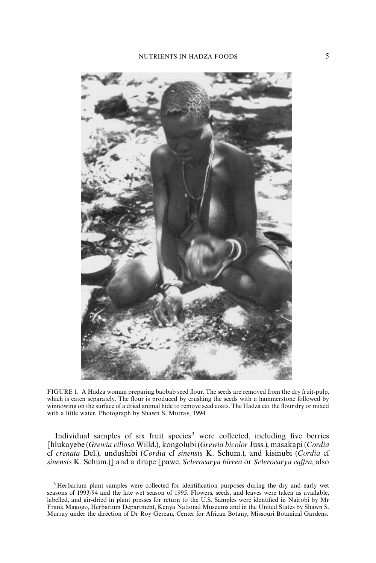<span id="page-2-0"></span>

FIGURE 1. A Hadza woman preparing baobab seed flour. The seeds are removed from the dry fruit-pulp, which is eaten separately. The flour is produced by crushing the seeds with a hammerstone followed by winnowing on the surface of a dried animal hide to remove seed coats. The Hadza eat the flour dry or mixed with a little water. Photograph by Shawn S. Murray, 1994.

Individual samples of six fruit species<sup>3</sup> were collected, including five berries [hlukayebe (*Grewia villosa* Willd.), kongolubi (*Grewia bicolor* Juss.), masakapi (*Cordia* cf *crenata* Del.), undushibi (*Cordia* cf *sinensis* K. Schum.), and kisinubi (*Cordia* cf *sinensis* K. Schum.)] and a drupe [pawe, *Sclerocarya birrea* or *Sclerocarya ca*+*ra*, also

<sup>&</sup>lt;sup>3</sup> Herbarium plant samples were collected for identification purposes during the dry and early wet seasons of 1993/94 and the late wet season of 1995. Flowers, seeds, and leaves were taken as available, labelled, and air-dried in plant presses for return to the U.S. Samples were identified in Nairobi by Mr Frank Magogo, Herbarium Department, Kenya National Museums and in the United States by Shawn S. Murray under the direction of Dr Roy Gereau, Center for African Botany, Missouri Botanical Gardens.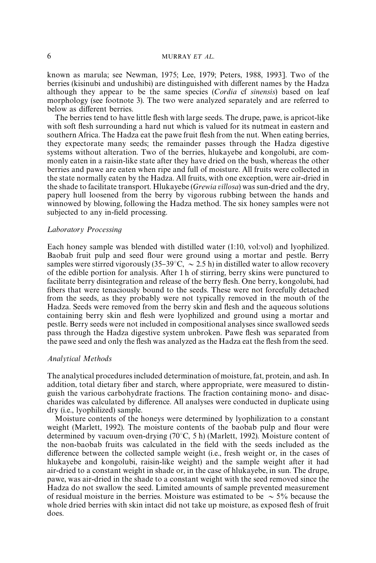## 6 MURRAY *ET AL*,

known as marula; see [Newman, 1975;](#page-10-0) [Lee, 1979; Peters, 1988, 1993\]](#page-10-0). Two of the berries (kisinubi and undushibi) are distinguished with different names by the Hadza although they appear to be the same species (*Cordia* cf *sinensis*) based on leaf morphology (see footnote 3). The two were analyzed separately and are referred to below as different berries.

The berries tend to have little flesh with large seeds. The drupe, pawe, is apricot-like with soft flesh surrounding a hard nut which is valued for its nutmeat in eastern and southern Africa. The Hadza eat the pawe fruit flesh from the nut. When eating berries, they expectorate many seeds; the remainder passes through the Hadza digestive systems without alteration. Two of the berries, hlukayebe and kongolubi, are commonly eaten in a raisin-like state after they have dried on the bush, whereas the other berries and pawe are eaten when ripe and full of moisture. All fruits were collected in the state normally eaten by the Hadza. All fruits, with one exception, were air-dried in the shade to facilitate transport. Hlukayebe (*Grewia villosa*) was sun-dried and the dry, papery hull loosened from the berry by vigorous rubbing between the hands and winnowed by blowing, following the Hadza method. The six honey samples were not subjected to any in-field processing.

#### ¸*aboratory Processing*

Each honey sample was blended with distilled water (1:10, vol:vol) and lyophilized. Baobab fruit pulp and seed flour were ground using a mortar and pestle. Berry samples were stirred vigorously  $(35-39^{\circ}C, \sim 2.5 \text{ h})$  in distilled water to allow recovery of the edible portion for analysis. After 1h of stirring, berry skins were punctured to facilitate berry disintegration and release of the berry flesh. One berry, kongolubi, had fibers that were tenaciously bound to the seeds. These were not forcefully detached from the seeds, as they probably were not typically removed in the mouth of the Hadza. Seeds were removed from the berry skin and flesh and the aqueous solutions containing berry skin and flesh were lyophilized and ground using a mortar and pestle. Berry seeds were not included in compositional analyses since swallowed seeds pass through the Hadza digestive system unbroken. Pawe #esh was separated from the pawe seed and only the flesh was analyzed as the Hadza eat the flesh from the seed.

### *Analytical Methods*

The analytical procedures included determination of moisture, fat, protein, and ash. In addition, total dietary fiber and starch, where appropriate, were measured to distinguish the various carbohydrate fractions. The fraction containing mono- and disaccharides was calculated by difference. All analyses were conducted in duplicate using dry (i.e., lyophilized) sample.

Moisture contents of the honeys were determined by lyophilization to a constant weight [\(Marlett, 1992\)](#page-10-0). The moisture contents of the baobab pulp and flour were determined by vacuum oven-drying  $(70^{\circ}C, 5 h)$  [\(Marlett, 1992\).](#page-10-0) Moisture content of the non-baobab fruits was calculated in the field with the seeds included as the difference between the collected sample weight (i.e., fresh weight or, in the cases of hlukayebe and kongolubi, raisin-like weight) and the sample weight after it had air-dried to a constant weight in shade or, in the case of hlukayebe, in sun. The drupe, pawe, was air-dried in the shade to a constant weight with the seed removed since the Hadza do not swallow the seed. Limited amounts of sample prevented measurement of residual moisture in the berries. Moisture was estimated to be  $\sim$  5% because the whole dried berries with skin intact did not take up moisture, as exposed flesh of fruit does.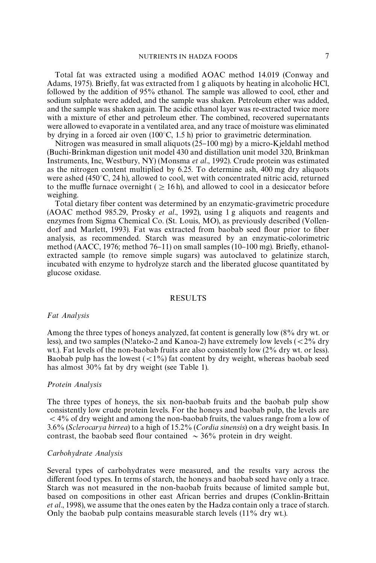Total fat was extracted using a modified AOAC method 14.019 [\(Conway and](#page-9-0) [Adams, 1975\)](#page-9-0). Briefly, fat was extracted from 1 g aliquots by heating in alcoholic HCl, followed by the addition of 95% ethanol. The sample was allowed to cool, ether and sodium sulphate were added, and the sample was shaken. Petroleum ether was added, and the sample was shaken again. The acidic ethanol layer was re-extracted twice more with a mixture of ether and petroleum ether. The combined, recovered supernatants were allowed to evaporate in a ventilated area, and any trace of moisture was eliminated by drying in a forced air oven  $(100^{\circ}C, 1.5 h)$  prior to gravimetric determination.

Nitrogen was measured in small aliquots  $(25-100 \text{ mg})$  by a micro-Kjeldahl method (Buchi-Brinkman digestion unit model 430 and distillation unit model 320, Brinkman Instruments, Inc, Westbury, NY) [\(Monsma](#page-10-0) *et al*., 1992). Crude protein was estimated as the nitrogen content multiplied by 6.25. To determine ash, 400 mg dry aliquots were ashed  $(450^{\circ}C, 24 h)$ , allowed to cool, wet with concentrated nitric acid, returned to the muffle furnace overnight ( $\geq$  16h), and allowed to cool in a desiccator before weighing.

Total dietary fiber content was determined by an enzymatic-gravimetric procedure (AOAC method 985.29, [Prosky](#page-10-0) *et al*., 1992), using 1 g aliquots and reagents and enzymes from Sigma Chemical Co. (St. Louis, MO), as previously described [\(Vollen](#page-10-0)[dorf and Marlett, 1993\)](#page-10-0). Fat was extracted from baobab seed flour prior to fiber analysis, as recommended. Starch was measured by an enzymatic-colorimetric method [\(AACC, 1976;](#page-9-0) method 76–11) on small samples (10–100 mg). Briefly, ethanolextracted sample (to remove simple sugars) was autoclaved to gelatinize starch, incubated with enzyme to hydrolyze starch and the liberated glucose quantitated by glucose oxidase.

#### RESULTS

#### *Fat Analysis*

Among the three types of honeys analyzed, fat content is generally low (8% dry wt. or less), and two samples (N!ateko-2 and Kanoa-2) have extremely low levels ( $\lt 2\%$  dry wt.). Fat levels of the non-baobab fruits are also consistently low (2% dry wt. or less). Baobab pulp has the lowest  $\left(\frac{1}{6}\right)$  fat content by dry weight, whereas baobab seed has almost 30% fat by dry weight (see [Table 1\)](#page-5-0).

#### *Protein Analysis*

The three types of honeys, the six non-baobab fruits and the baobab pulp show consistently low crude protein levels. For the honeys and baobab pulp, the levels are  $<$  4% of dry weight and among the non-baobab fruits, the values range from a low of 3.6% (*Sclerocarya birrea*) to a high of 15.2% (*Cordia sinensis*) on a dry weight basis. In contrast, the baobab seed flour contained  $\sim$  36% protein in dry weight.

## *Carbohydrate Analysis*

Several types of carbohydrates were measured, and the results vary across the different food types. In terms of starch, the honeys and baobab seed have only a trace. Starch was not measured in the non-baobab fruits because of limited sample but, based on compositions in other east African berries and drupes [\(Conklin-Brittain](#page-9-0) *et al*[., 1998\),](#page-9-0) we assume that the ones eaten by the Hadza contain only a trace of starch. Only the baobab pulp contains measurable starch levels (11% dry wt.).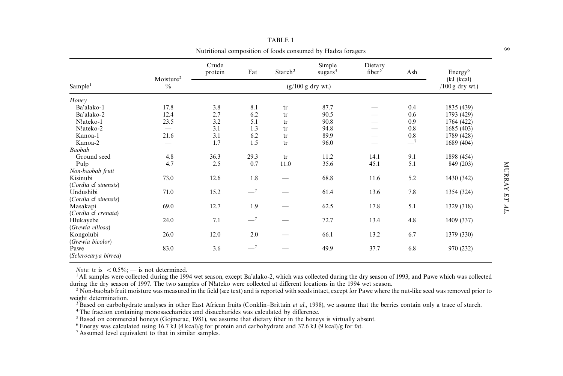<span id="page-5-0"></span>

|                              |                                        | Crude<br>protein | Fat  | Starch <sup>3</sup> | Simple<br>sugars <sup>4</sup> | Dietary<br>fiber <sup>5</sup> | Ash  | Energy <sup>6</sup>                      |
|------------------------------|----------------------------------------|------------------|------|---------------------|-------------------------------|-------------------------------|------|------------------------------------------|
| Sample <sup>1</sup>          | Moisture <sup>2</sup><br>$\frac{0}{0}$ |                  |      |                     | $(g/100 g$ dry wt.)           |                               |      | (kJ (kcal))<br>$(100 \text{ g dry wt.})$ |
| Honey                        |                                        |                  |      |                     |                               |                               |      |                                          |
| Ba'alako-1                   | 17.8                                   | 3.8              | 8.1  | tr                  | 87.7                          |                               | 0.4  | 1835 (439)                               |
| Ba'alako-2                   | 12.4                                   | 2.7              | 6.2  | tr                  | 90.5                          |                               | 0.6  | 1793 (429)                               |
| N!ateko-1                    | 23.5                                   | 3.2              | 5.1  | tr                  | 90.8                          |                               | 0.9  | 1764 (422)                               |
| N!ateko-2                    | $\qquad \qquad$                        | 3.1              | 1.3  | tr                  | 94.8                          |                               | 0.8  | 1685 (403)                               |
| Kanoa-1                      | 21.6                                   | 3.1              | 6.2  | tr                  | 89.9                          |                               | 0.8  | 1789 (428)                               |
| Kanoa-2                      |                                        | 1.7              | 1.5  | tr                  | 96.0                          |                               | $-7$ | 1689 (404)                               |
| Baobab                       |                                        |                  |      |                     |                               |                               |      |                                          |
| Ground seed                  | 4.8                                    | 36.3             | 29.3 | tr                  | 11.2                          | 14.1                          | 9.1  | 1898 (454)                               |
| Pulp                         | 4.7                                    | 2.5              | 0.7  | 11.0                | 35.6                          | 45.1                          | 5.1  | 849 (203)                                |
| Non-baobab fruit             |                                        |                  |      |                     |                               |                               |      |                                          |
| Kisinubi                     | 73.0                                   | 12.6             | 1.8  |                     | 68.8                          | 11.6                          | 5.2  | 1430 (342)                               |
| (Cordia cf sinensis)         |                                        |                  |      |                     |                               |                               |      |                                          |
| Undushibi                    | 71.0                                   | 15.2             | $-7$ |                     | 61.4                          | 13.6                          | 7.8  | 1354 (324)                               |
| (Cordia cf sinensis)         |                                        |                  |      |                     |                               |                               |      |                                          |
| Masakapi                     | 69.0                                   | 12.7             | 1.9  |                     | 62.5                          | 17.8                          | 5.1  | 1329 (318)                               |
| (Cordia cf crenata)          |                                        |                  |      |                     |                               |                               |      |                                          |
| Hlukayebe                    | 24.0                                   | 7.1              | $-7$ |                     | 72.7                          | 13.4                          | 4.8  | 1409 (337)                               |
| (Grewia villosa)             |                                        |                  |      |                     |                               |                               |      |                                          |
| Kongolubi                    | 26.0                                   | 12.0             | 2.0  |                     | 66.1                          | 13.2                          | 6.7  | 1379 (330)                               |
| (Grewia bicolor)             |                                        |                  |      |                     |                               |                               |      |                                          |
| Pawe<br>(Sclerocarya birrea) | 83.0                                   | 3.6              | $-7$ |                     | 49.9                          | 37.7                          | 6.8  | 970 (232)                                |

TABLE 1Nutritional composition of foods consumed by Hadza foragers

*Note*: tr is  $< 0.5\%$ ;  $-$  is not determined.

<sup>1</sup>All samples were collected during the 1994 wet season, except Ba'alako-2, which was collected during the dry season of 1993, and Pawe which was collected during the dry season of 1997. The two samples of N!ateko were collected at different locations in the 1994 wet season.

 $^2$  Non-baobab fruit moisture was measured in the field (see text) and is reported with seeds intact, except for Pawe where the nut-like seed was removed prior to weight determination.

<sup>3</sup>Based on carbohydrate analyses in other East African fruits [\(Conklin](#page-9-0)–Brittain *et al.*, 1998), we assume that the berries contain only a trace of starch.

<sup>4</sup>The fraction containing monosaccharides and disaccharides was calculated by difference.

<sup>5</sup>Based on commercial honeys ([Gojmerac,](#page-9-0) 1981), we assume that dietary fiber in the honeys is virtually absent.

<sup>6</sup> Energy was calculated using  $16.7$  kJ (4 kcal)/g for protein and carbohydrate and 37.6 kJ (9 kcal)/g for fat.

7 Assumed level equivalent to that in similar samples.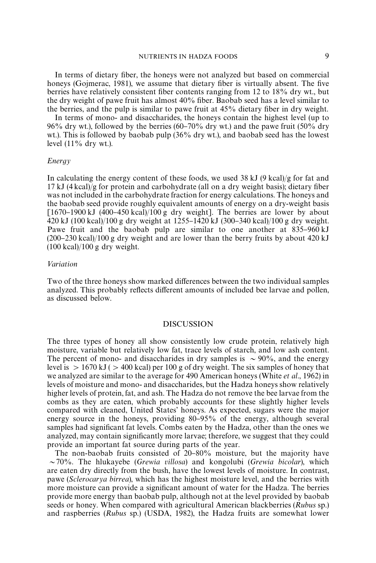# NUTRIENTS IN HADZA FOODS 9

In terms of dietary fiber, the honeys were not analyzed but based on commercial honeys [\(Gojmerac, 1981\),](#page-9-0) we assume that dietary fiber is virtually absent. The five berries have relatively consistent fiber contents ranging from 12 to 18% dry wt., but the dry weight of pawe fruit has almost  $40\%$  fiber. Baobab seed has a level similar to the berries, and the pulp is similar to pawe fruit at 45% dietary fiber in dry weight.

In terms of mono- and disaccharides, the honeys contain the highest level (up to 96% dry wt.), followed by the berries (60–70% dry wt.) and the pawe fruit (50% dry wt.). This is followed by baobab pulp (36% dry wt.), and baobab seed has the lowest level  $(11\%$  dry wt.).

#### *Energy*

In calculating the energy content of these foods, we used  $38 \text{ kJ}$  (9 kcal)/g for fat and 17 kJ (4kcal)/g for protein and carbohydrate (all on a dry weight basis); dietary "ber was not included in the carbohydrate fraction for energy calculations. The honeys and the baobab seed provide roughly equivalent amounts of energy on a dry-weight basis  $[1670–1900 \text{ kJ} (400–450 \text{ kcal})/100 \text{ g dry weight}]$ . The berries are lower by about  $\frac{420 \text{ kJ}}{100 \text{ kcal}}$ /100 g dry weight at  $\frac{1255 - 1420 \text{ kJ}}{300 - 340 \text{ kcal}}$ /100 g dry weight. Pawe fruit and the baobab pulp are similar to one another at  $835-960 \text{ kJ}$  $(200-230 \text{ kcal})/100 \text{ g}$  dry weight and are lower than the berry fruits by about 420 kJ  $(100 \text{ kcal})/100 \text{ g dry weight.}$ 

# $Variation$

Two of the three honeys show marked differences between the two individual samples analyzed. This probably reflects different amounts of included bee larvae and pollen, as discussed below.

#### DISCUSSION

The three types of honey all show consistently low crude protein, relatively high moisture, variable but relatively low fat, trace levels of starch, and low ash content. The percent of mono- and disaccharides in dry samples is  $\sim$  90%, and the energy level is  $> 1670$  kJ ( $> 400$  kcal) per 100 g of dry weight. The six samples of honey that we analyzed are similar to the average for 490 American honeys (White *et al*[., 1962\)](#page-10-0) in levels of moisture and mono- and disaccharides, but the Hadza honeys show relatively higher levels of protein, fat, and ash. The Hadza do not remove the bee larvae from the combs as they are eaten, which probably accounts for these slightly higher levels compared with cleaned, United States' honeys. As expected, sugars were the major energy source in the honeys, providing 80–95% of the energy, although several samples had significant fat levels. Combs eaten by the Hadza, other than the ones we analyzed, may contain significantly more larvae; therefore, we suggest that they could provide an important fat source during parts of the year.

The non-baobab fruits consisted of  $20-80%$  moisture, but the majority have &70%. The hlukayebe (*Grewia villosa*) and kongolubi (*Grewia bicolar*), which are eaten dry directly from the bush, have the lowest levels of moisture. In contrast, pawe (*Sclerocarya birrea*), which has the highest moisture level, and the berries with more moisture can provide a significant amount of water for the Hadza. The berries provide more energy than baobab pulp, although not at the level provided by baobab seeds or honey. When compared with agricultural American blackberries (*Rubus* sp.) and raspberries (*Rubus* sp.) [\(USDA, 1982\),](#page-10-0) the Hadza fruits are somewhat lower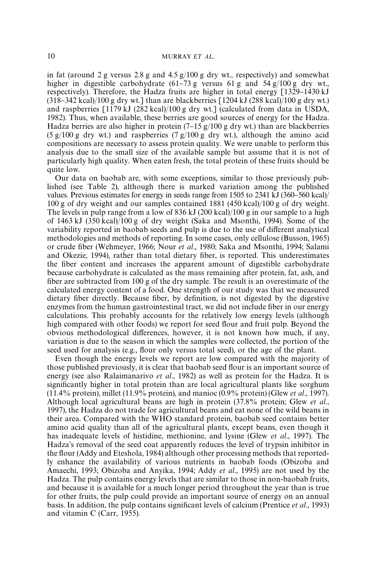in fat (around 2 g versus 2.8 g and 4.5 g/100 g dry wt., respectively) and somewhat higher in digestible carbohydrate  $(61-73 \text{ g}$  versus 61 g and 54 g/100 g dry wt., respectively). Therefore, the Hadza fruits are higher in total energy  $[1329-1430 \mathrm{kJ}]$  $(318-342 \text{ kcal})/100 \text{ g dry wt.}$ ] than are blackberries [1204 kJ (288 kcal)/100 g dry wt.) and raspberries [1179 kJ (282 kcal)/100 g dry wt.] (calculated from data in [USDA,](#page-10-0) [1982\).](#page-10-0) Thus, when available, these berries are good sources of energy for the Hadza. Hadza berries are also higher in protein  $(7-15 g/100 g$  dry wt.) than are blackberries (5 g/100 g dry wt.) and raspberries (7 g/100 g dry wt.), although the amino acid compositions are necessary to assess protein quality. We were unable to perform this analysis due to the small size of the available sample but assume that it is not of particularly high quality. When eaten fresh, the total protein of these fruits should be quite low.

Our data on baobab are, with some exceptions, similar to those previously published (see [Table 2\),](#page-8-0) although there is marked variation among the published values. Previous estimates for energy in seeds range from 1505 to 2341 kJ  $(360-560 \text{ kcal})/$ 100 g of dry weight and our samples contained 1881 (450 kcal)/100 g of dry weight. The levels in pulp range from a low of 836 kJ  $(200 \text{ kcal})/100 \text{ g}$  in our sample to a high of 1463 kJ (350 kcal)/100 g of dry weight [\(Saka and Msonthi, 1994\)](#page-10-0). Some of the variability reported in baobab seeds and pulp is due to the use of different analytical methodologies and methods of reporting. In some cases, only cellulose [\(Busson, 1965\)](#page-9-0) or crude "ber [\(Wehmeyer, 1966;](#page-10-0) Nour *et al*[., 1980;](#page-10-0) [Saka and Msonthi, 1994; Salami](#page-10-0) [and Okezie, 1994\),](#page-10-0) rather than total dietary fiber, is reported. This underestimates the "ber content and increases the apparent amount of digestible carbohydrate because carbohydrate is calculated as the mass remaining after protein, fat, ash, and fiber are subtracted from 100 g of the dry sample. The result is an overestimate of the calculated energy content of a food. One strength of our study was that we measured dietary fiber directly. Because fiber, by definition, is not digested by the digestive enzymes from the human gastrointestinal tract, we did not include fiber in our energy calculations. This probably accounts for the relatively low energy levels (although high compared with other foods) we report for seed flour and fruit pulp. Beyond the obvious methodological differences, however, it is not known how much, if any, variation is due to the season in which the samples were collected, the portion of the seed used for analysis (e.g., flour only versus total seed), or the age of the plant.

Even though the energy levels we report are low compared with the majority of those published previously, it is clear that baobab seed flour is an important source of energy (see als[o Ralaimanarivo](#page-10-0) *et al*., 1982) as well as protein for the Hadza. It is significantly higher in total protein than are local agricultural plants like sorghum (11.4% protein), millet (11.9% protein), and manioc (0.9% protein) (Glew *et al*[., 1997\).](#page-9-0) Although local agricultural beans are high in protein (37.8% protein; [Glew](#page-9-0) *et al*., [1997\),](#page-9-0) the Hadza do not trade for agricultural beans and eat none of the wild beans in their area. Compared with the WHO standard protein, baobab seed contains better amino acid quality than all of the agricultural plants, except beans, even though it has inadequate levels of histidine, methionine, and lysine (Glew *et al*[., 1997\).](#page-9-0) The Hadza's removal of the seed coat apparently reduces the level of trypsin inhibitor in the #our [\(Addy and Eteshola, 1984\)](#page-9-0) although other processing methods that reportedly enhance the availability of various nutrients in baobab foods [\(Obizoba and](#page-10-0) [Amaechi, 1993;](#page-10-0) [Obizoba and Anyika, 1994;](#page-10-0) Addy *et al*[., 1995\)](#page-9-0) are not used by the Hadza. The pulp contains energy levels that are similar to those in non-baobab fruits, and because it is available for a much longer period throughout the year than is true for other fruits, the pulp could provide an important source of energy on an annual basis. In addition, the pulp contains significant levels of calcium [\(Prentice](#page-10-0) *et al.*, 1993) and vitamin C [\(Carr, 1955\).](#page-9-0)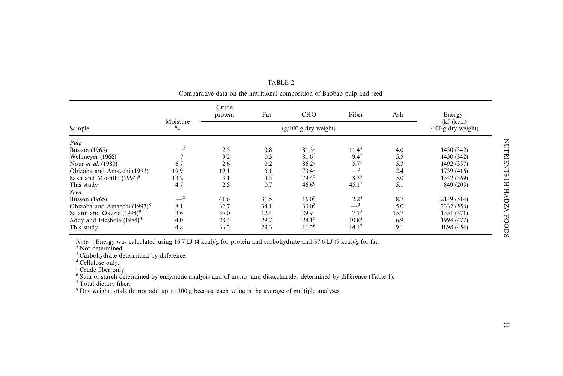<span id="page-8-0"></span>

|                                         | Moisture<br>$\frac{0}{0}$ | Crude<br>protein | Fat                          | <b>CHO</b>        | Fiber             | Ash  | Energy <sup>1</sup><br>(kJ (kcal)) |  |
|-----------------------------------------|---------------------------|------------------|------------------------------|-------------------|-------------------|------|------------------------------------|--|
| Sample                                  |                           |                  | $(100 \text{ g dry weight})$ |                   |                   |      |                                    |  |
| Pulp                                    |                           |                  |                              |                   |                   |      |                                    |  |
| <b>Busson</b> (1965)                    | $-2$                      | 2.5              | 0.8                          | 81.33             | 11.4 <sup>4</sup> | 4.0  | 1430 (342)                         |  |
| Wehmeyer (1966)                         |                           | 3.2              | 0.3                          | 81.6 <sup>3</sup> | $9.4^{5}$         | 5.5  | 1430 (342)                         |  |
| Nour <i>et al.</i> (1980)               | 6.7                       | 2.6              | 0.2                          | 86.2 <sup>3</sup> | $5.7^{5}$         | 5.3  | 1492 (357)                         |  |
| Obizoba and Amaechi (1993)              | 19.9                      | 19.1             | 5.1                          | $73.4^3$          | $-2$              | 2.4  | 1739 (416)                         |  |
| Saka and Msonthi (1994) <sup>8</sup>    | 13.2                      | 3.1              | 4.3                          | $79.4^3$          | 8.3 <sup>5</sup>  | 5.0  | 1542 (369)                         |  |
| This study                              | 4.7                       | 2.5              | 0.7                          | $46.6^{6}$        | $45.1^7$          | 5.1  | 849 (203)                          |  |
| Seed                                    |                           |                  |                              |                   |                   |      |                                    |  |
| <b>Busson</b> (1965)                    | $-2$                      | 41.6             | 31.5                         | 16.0 <sup>3</sup> | 2.2 <sup>4</sup>  | 8.7  | 2149 (514)                         |  |
| Obizoba and Amaechi (1993) <sup>8</sup> | 8.1                       | 32.7             | 34.1                         | 30.0 <sup>3</sup> | $-2$              | 5.0  | 2332 (558)                         |  |
| Salami and Okezie (1994) <sup>8</sup>   | 3.6                       | 35.0             | 12.4                         | 29.9              | 7.1 <sup>5</sup>  | 15.7 | 1551 (371)                         |  |
| Addy and Eteshola $(1984)^8$            | 4.0                       | 28.4             | 29.7                         | 24.1 <sup>3</sup> | 10.8 <sup>5</sup> | 6.9  | 1994 (477)                         |  |
| This study                              | 4.8                       | 36.3             | 29.3                         | 11.2 <sup>6</sup> | $14.1^7$          | 9.1  | 1898 (454)                         |  |

TABLE 2Comparative data on the nutritional composition of Baobab pulp and seed

*Note*: <sup>1</sup>Energy was calculated using 16.7 kJ (4 kcal)/g for protein and carbohydrate and 37.6 kJ (9 kcal)/g for fat.

<sup>2</sup> Not determined.

<sup>3</sup> Carbohydrate determined by difference.<br><sup>4</sup> Cellulose only.<br><sup>5</sup> Crude fiber only.

<sup>6</sup> Sum of starch determined by enzymatic analysis and of mono- and disaccharides determined by difference [\(Table](#page-5-0) 1).

<sup>7</sup>Total dietary fiber.

<sup>8</sup> Dry weight totals do not add up to 100 g because each value is the average of multiple analyses.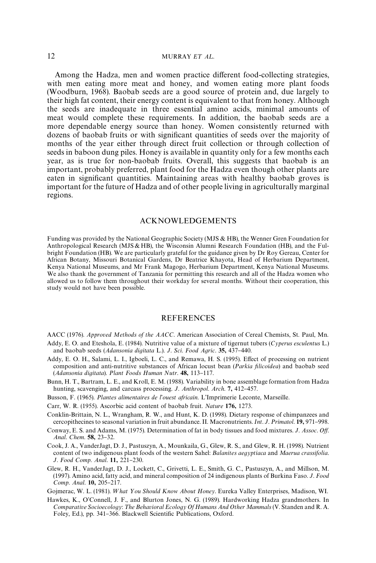#### <span id="page-9-0"></span>12 MURRAY *ET AL*,

Among the Hadza, men and women practice different food-collecting strategies, with men eating more meat and honey, and women eating more plant foods [\(Woodburn, 1968\)](#page-10-0). Baobab seeds are a good source of protein and, due largely to their high fat content, their energy content is equivalent to that from honey. Although the seeds are inadequate in three essential amino acids, minimal amounts of meat would complete these requirements. In addition, the baobab seeds are a more dependable energy source than honey. Women consistently returned with dozens of baobab fruits or with significant quantities of seeds over the majority of months of the year either through direct fruit collection or through collection of seeds in baboon dung piles. Honey is available in quantity only for a few months each year, as is true for non-baobab fruits. Overall, this suggests that baobab is an important, probably preferred, plant food for the Hadza even though other plants are eaten in significant quantities. Maintaining areas with healthy baobab groves is important for the future of Hadza and of other people living in agriculturally marginal regions.

#### ACKNOWLEDGEMENTS

Funding was provided by the National Geographic Society (MJS & HB), the Wenner Gren Foundation for Anthropological Research (MJS&HB), the Wisconsin Alumni Research Foundation (HB), and the Fulbright Foundation (HB). We are particularly grateful for the guidance given by Dr Roy Gereau, Center for African Botany, Missouri Botanical Gardens, Dr Beatrice Khayota, Head of Herbarium Department, Kenya National Museums, and Mr Frank Magogo, Herbarium Department, Kenya National Museums. We also thank the government of Tanzania for permitting this research and all of the Hadza women who allowed us to follow them throughout their workday for several months. Without their cooperation, this study would not have been possible.

## **REFERENCES**

AACC (1976). *Approved Methods of the AACC*. American Association of Cereal Chemists, St. Paul, Mn.

- Addy, E. O. and Eteshola, E. (1984). Nutritive value of a mixture of tigernut tubers (*Cyperus esculentus* L.) and baobab seeds (*Adansonia digitata* L.). *J. Sci. Food Agric*. **35,** 437-440.
- Addy, E. O. H., Salami, L. I., Igboeli, L. C., and Remawa, H. S. (1995). Effect of processing on nutrient composition and anti-nutritive substances of African locust bean (*Parkia* ,*licoidea*) and baobab seed (*Adansonia digitata*). *Plant Foods Human Nutr*. 48, 113-117.
- Bunn, H. T., Bartram, L. E., and Kroll, E. M. (1988). Variability in bone assemblage formation from Hadza hunting, scavenging, and carcass processing. *J. Anthropol. Arch.* 7, 412-457.
- Busson, F. (1965). *Plantes alimentaires de l'ouest africain*. L'Imprimerie Leconte, Marseille.
- Carr, W. R. (1955). Ascorbic acid content of baobab fruit. *Nature* 176, 1273.
- Conklin-Brittain, N. L., Wrangham, R. W., and Hunt, K. D. (1998). Dietary response of chimpanzees and cercopithecines to seasonal variation in fruit abundance. II. Macronutrients. *Int. J. Primatol*. **19**, 971–998.
- Conway, E. S. and Adams, M. (1975). Determination of fat in body tissues and food mixtures. *J*. *Assoc*. *O*+. *Anal. Chem.* 58, 23-32.
- Cook, J. A., VanderJagt, D. J., Pastuszyn, A., Mounkaila, G., Glew, R. S., and Glew, R. H. (1998). Nutrient content of two indigenous plant foods of the western Sahel: *Balanites aegyptiaca* and *Maerua crassifolia*. *J. Food Comp. Anal.* **11,** 221-230.
- Glew, R. H., VanderJagt, D. J., Lockett, C., Grivetti, L. E., Smith, G. C., Pastuszyn, A., and Millson, M. (1997). Amino acid, fatty acid, and mineral composition of 24 indigenous plants of Burkina Faso. *J*. *Food Comp. Anal.* **10**, 205-217.

Gojmerac, W. L. (1981). What You Should Know About Honey. Eureka Valley Enterprises, Madison, WI.

Hawkes, K., O'Connell, J. F., and Blurton Jones, N. G. (1989). Hardworking Hadza grandmothers. In *Comparative Socioecology: The Behavioral Ecology Of Humans And Other Mammals* (V. Standen and R. A. Foley, Ed.), pp. 341-366. Blackwell Scientific Publications, Oxford.